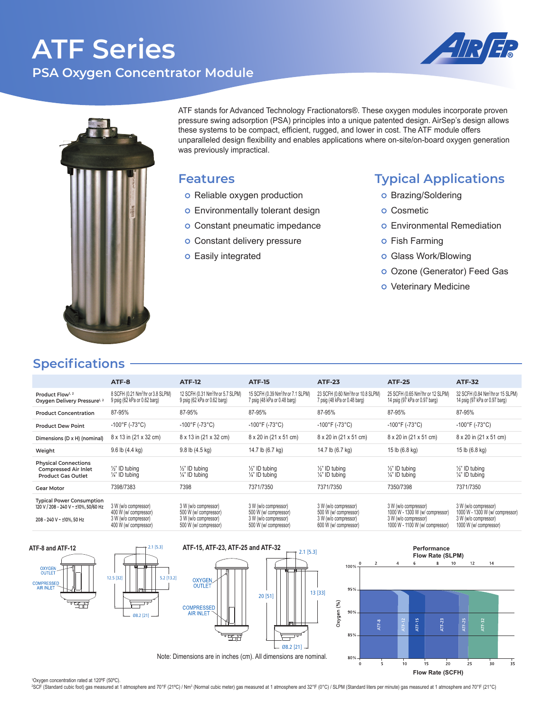# **ATF Series PSA Oxygen Concentrator Module**





ATF stands for Advanced Technology Fractionators®. These oxygen modules incorporate proven pressure swing adsorption (PSA) principles into a unique patented design. AirSep's design allows these systems to be compact, efficient, rugged, and lower in cost. The ATF module offers unparalleled design flexibility and enables applications where on-site/on-board oxygen generation was previously impractical.

#### **Features**

- o Reliable oxygen production
- o Environmentally tolerant design
- o Constant pneumatic impedance
- o Constant delivery pressure
- o Easily integrated

### **Typical Applications**

- o Brazing/Soldering
- o Cosmetic
- o Environmental Remediation
- o Fish Farming
- o Glass Work/Blowing
- o Ozone (Generator) Feed Gas
- o Veterinary Medicine

### **Specifications**

|                                                                                                     | ATF-8                                                                                          | <b>ATF-12</b>                                                                                  | <b>ATF-15</b>                                                                                  | <b>ATF-23</b>                                                                                  | <b>ATF-25</b>                                                                                                      | <b>ATF-32</b>                                                                                             |  |
|-----------------------------------------------------------------------------------------------------|------------------------------------------------------------------------------------------------|------------------------------------------------------------------------------------------------|------------------------------------------------------------------------------------------------|------------------------------------------------------------------------------------------------|--------------------------------------------------------------------------------------------------------------------|-----------------------------------------------------------------------------------------------------------|--|
| Product Flow <sup>1, 2</sup><br>Oxygen Delivery Pressure <sup>1, 2</sup>                            | 8 SCFH (0.21 Nm <sup>3</sup> /hr or 3.8 SLPM)<br>9 psig (62 kPa or 0.62 barg)                  | 12 SCFH (0.31 Nm <sup>3</sup> /hr or 5.7 SLPM)<br>9 psig (62 kPa or 0.62 barg)                 | 15 SCFH (0.39 Nm <sup>3</sup> /hr or 7.1 SLPM)<br>7 psig (48 kPa or 0.48 barg)                 | 23 SCFH (0.60 Nm <sup>3</sup> /hr or 10.8 SLPM)<br>7 psig (48 kPa or 0.48 barg)                | 25 SCFH (0.65 Nm <sup>3</sup> /hr or 12 SLPM)<br>14 psig (97 kPa or 0.97 barg)                                     | 32 SCFH (0.84 Nm <sup>3</sup> /hr or 15 SLPM)<br>14 psig (97 kPa or 0.97 barg)                            |  |
| <b>Product Concentration</b>                                                                        | 87-95%                                                                                         | 87-95%                                                                                         | 87-95%                                                                                         | 87-95%                                                                                         | 87-95%                                                                                                             | 87-95%                                                                                                    |  |
| <b>Product Dew Point</b>                                                                            | $-100^{\circ}$ F (-73 $^{\circ}$ C)                                                            | $-100^{\circ}$ F (-73 $^{\circ}$ C)                                                            | $-100^{\circ}$ F (-73 $^{\circ}$ C)                                                            | $-100^{\circ}$ F (-73 $^{\circ}$ C)                                                            | $-100^{\circ}$ F (-73 $^{\circ}$ C)                                                                                | $-100^{\circ}$ F (-73 $^{\circ}$ C)                                                                       |  |
| Dimensions (D x H) (nominal)                                                                        | 8 x 13 in (21 x 32 cm)                                                                         | 8 x 13 in (21 x 32 cm)                                                                         | 8 x 20 in (21 x 51 cm)                                                                         | 8 x 20 in (21 x 51 cm)                                                                         | 8 x 20 in (21 x 51 cm)                                                                                             | 8 x 20 in (21 x 51 cm)                                                                                    |  |
| Weight                                                                                              | $9.6$ lb $(4.4$ kg)                                                                            | 9.8 lb (4.5 kg)                                                                                | 14.7 lb (6.7 kg)                                                                               | 14.7 lb (6.7 kg)                                                                               | 15 lb (6.8 kg)                                                                                                     | 15 lb (6.8 kg)                                                                                            |  |
| <b>Physical Connections</b><br><b>Compressed Air Inlet</b><br><b>Product Gas Outlet</b>             | $\frac{1}{2}$ " ID tubing<br>$\frac{1}{4}$ " ID tubing                                         | $\frac{1}{2}$ " ID tubing<br>$\frac{1}{4}$ " ID tubing                                         | $\frac{1}{2}$ " ID tubing<br>$\frac{1}{4}$ " ID tubing                                         | $\frac{1}{2}$ " ID tubing<br>$\frac{1}{4}$ " ID tubing                                         | $\frac{1}{2}$ " ID tubing<br>$\frac{1}{4}$ " ID tubing                                                             | $\frac{1}{2}$ " ID tubing<br>$\frac{1}{4}$ " ID tubing                                                    |  |
| <b>Gear Motor</b>                                                                                   | 7398/7383                                                                                      | 7398                                                                                           | 7371/7350                                                                                      | 7371/7350                                                                                      | 7350/7398                                                                                                          | 7371/7350                                                                                                 |  |
| <b>Typical Power Consumption</b><br>120 V / 208 - 240 V ~ ±10%, 50/60 Hz<br>208-240 V ~ ±10%, 50 Hz | 3 W (w/o compressor)<br>400 W (w/ compressor)<br>3 W (w/o compressor)<br>400 W (w/ compressor) | 3 W (w/o compressor)<br>500 W (w/ compressor)<br>3 W (w/o compressor)<br>500 W (w/ compressor) | 3 W (w/o compressor)<br>500 W (w/ compressor)<br>3 W (w/o compressor)<br>500 W (w/ compressor) | 3 W (w/o compressor)<br>500 W (w/ compressor)<br>3 W (w/o compressor)<br>600 W (w/ compressor) | 3 W (w/o compressor)<br>1000 W - 1300 W (w/ compressor)<br>3 W (w/o compressor)<br>1000 W - 1100 W (w/ compressor) | 3 W (w/o compressor)<br>1000 W - 1300 W (w/ compressor)<br>3 W (w/o compressor)<br>1000 W (w/ compressor) |  |



'Oxygen concentration rated at 120℉ (50℃).<br>°SCF (Standard cubic foot) gas measured at 1 atmosphere and 70°F (21°C) / Nmª (Normal cubic meter) gas measured at 1 atmosphere and 32°F (0°C) / SLPM (Standard liters per minute)